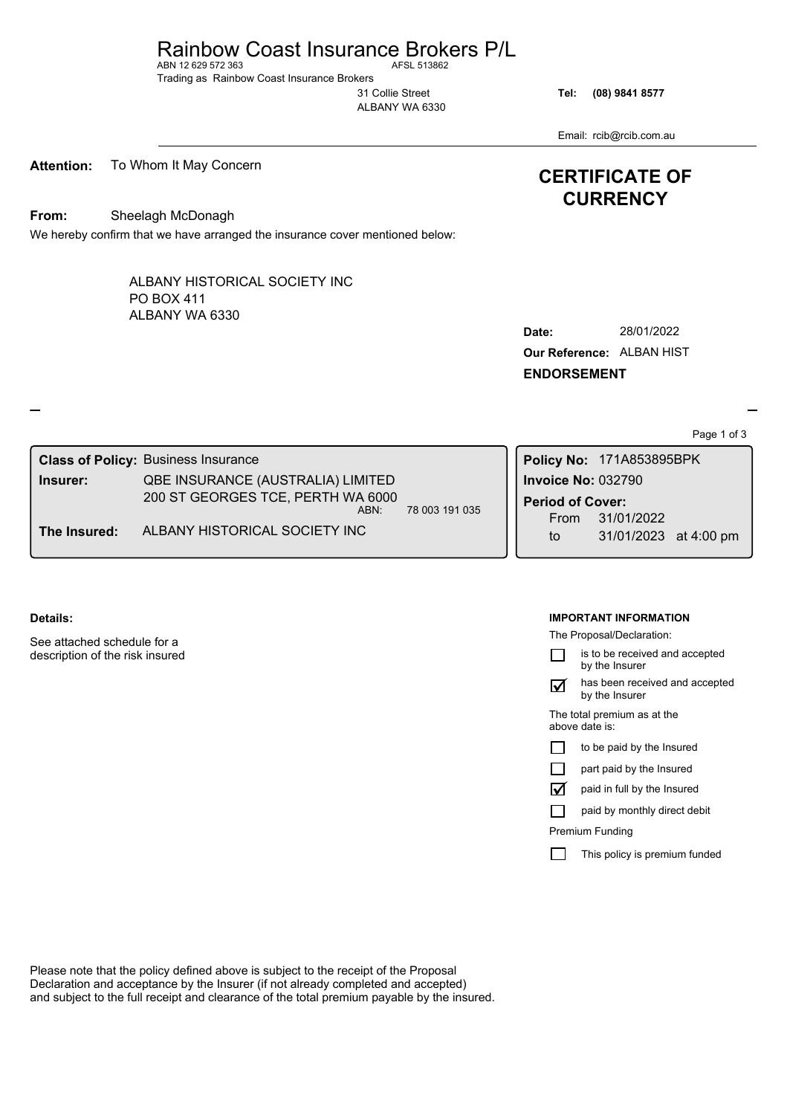# Rainbow Coast Insurance Brokers P/L<br>AFN 12.629.572.363

ABN 12 629 572 363 Trading as Rainbow Coast Insurance Brokers

31 Collie Street ALBANY WA 6330

**Tel: (08) 9841 8577**

Email: rcib@rcib.com.au

**CERTIFICATE OF CURRENCY**

**Attention:** To Whom It May Concern

**From:** Sheelagh McDonagh

We hereby confirm that we have arranged the insurance cover mentioned below:

ALBANY WA 6330 ALBANY HISTORICAL SOCIETY INC PO BOX 411

| Date:                            | 28/01/2022 |  |
|----------------------------------|------------|--|
| <b>Our Reference: ALBAN HIST</b> |            |  |
| <b>ENDORSEMENT</b>               |            |  |

Page 1 of 3

|              | <b>Class of Policy: Business Insurance</b> |                |                           | Policy No: 171A853895BPK            |  |
|--------------|--------------------------------------------|----------------|---------------------------|-------------------------------------|--|
| Insurer:     | QBE INSURANCE (AUSTRALIA) LIMITED          |                | <b>Invoice No: 032790</b> |                                     |  |
|              | 200 ST GEORGES TCE, PERTH WA 6000<br>ABN:  | 78 003 191 035 | <b>Period of Cover:</b>   |                                     |  |
| The Insured: | ALBANY HISTORICAL SOCIETY INC              |                | From<br>to                | 31/01/2022<br>31/01/2023 at 4:00 pm |  |

### **Details:**

See attached schedule for a description of the risk insured

#### **IMPORTANT INFORMATION**

The Proposal/Declaration:

is to be received and accepted  $\Box$ by the Insurer

has been received and accepted by the Insurer  $\boxtimes$ 

The total premium as at the above date is:

| $\Box$ |  |  | to be paid by the Insured |
|--------|--|--|---------------------------|
|--------|--|--|---------------------------|

 $\Box$ part paid by the Insured

paid in full by the Insured

paid by monthly direct debit

Premium Funding

ü

П

П This policy is premium funded

Please note that the policy defined above is subject to the receipt of the Proposal Declaration and acceptance by the Insurer (if not already completed and accepted) and subject to the full receipt and clearance of the total premium payable by the insured.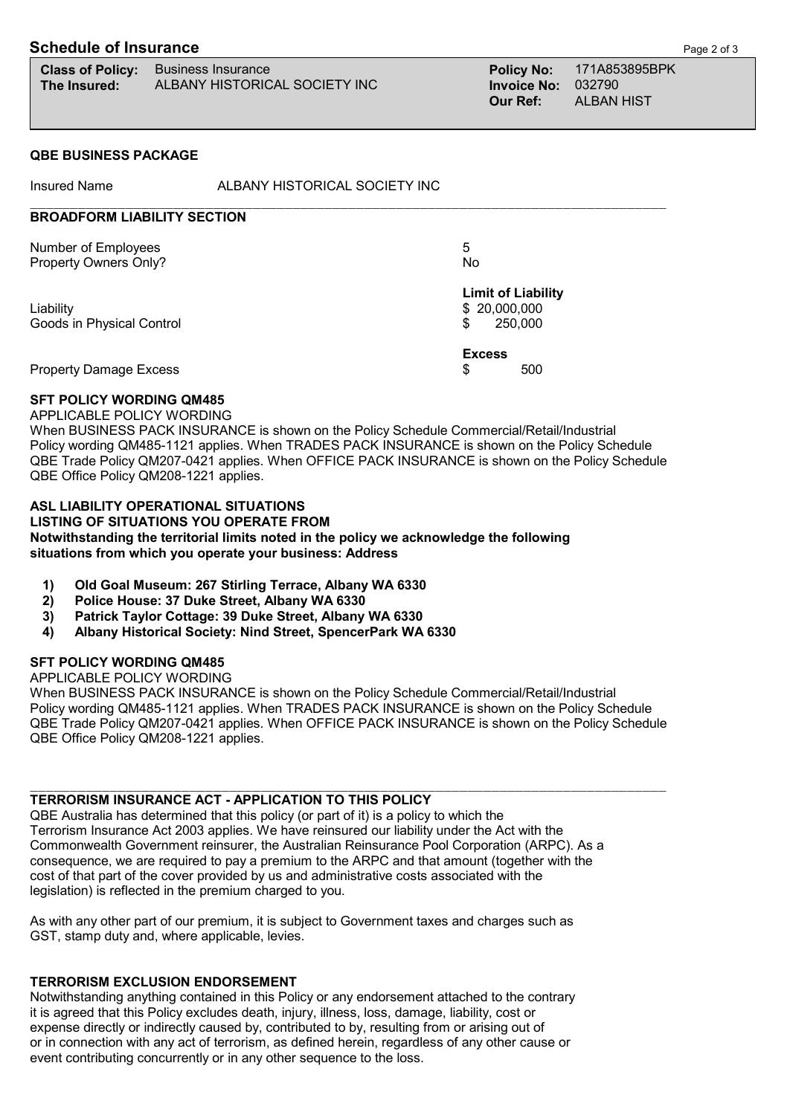## **Schedule of Insurance Page 2 of 3**

|              | <b>Class of Policy:</b> Business Insurance |
|--------------|--------------------------------------------|
| The Insured: | ALBANY HISTORICAL SOCIETY INC              |

**Class of Policy:** Business Insurance **Policy No:** 171A853895BPK **Invoice No: 032790 Our Ref:** ALBAN HIST

#### **QBE BUSINESS PACKAGE**

Insured Name **ALBANY HISTORICAL SOCIETY INC** \_\_\_\_\_\_\_\_\_\_\_\_\_\_\_\_\_\_\_\_\_\_\_\_\_\_\_\_\_\_\_\_\_\_\_\_\_\_\_\_\_\_\_\_\_\_\_\_\_\_\_\_\_\_\_\_\_\_\_\_\_\_\_\_\_\_\_\_\_\_\_\_\_\_\_\_\_\_\_\_ **BROADFORM LIABILITY SECTION**

| Number of Employees<br>Property Owners Only? | 5<br>No                                              |  |  |
|----------------------------------------------|------------------------------------------------------|--|--|
| Liability<br>Goods in Physical Control       | <b>Limit of Liability</b><br>\$20,000,000<br>250,000 |  |  |
| <b>Property Damage Excess</b>                | <b>Excess</b><br>500<br>S                            |  |  |

#### **SFT POLICY WORDING QM485**

#### APPLICABLE POLICY WORDING

 When BUSINESS PACK INSURANCE is shown on the Policy Schedule Commercial/Retail/Industrial Policy wording QM485-1121 applies. When TRADES PACK INSURANCE is shown on the Policy Schedule QBE Trade Policy QM207-0421 applies. When OFFICE PACK INSURANCE is shown on the Policy Schedule QBE Office Policy QM208-1221 applies.

## **ASL LIABILITY OPERATIONAL SITUATIONS**

 **LISTING OF SITUATIONS YOU OPERATE FROM Notwithstanding the territorial limits noted in the policy we acknowledge the following situations from which you operate your business: Address**

- **1) Old Goal Museum: 267 Stirling Terrace, Albany WA 6330**
- **2) Police House: 37 Duke Street, Albany WA 6330**
- **3) Patrick Taylor Cottage: 39 Duke Street, Albany WA 6330**
- **4) Albany Historical Society: Nind Street, SpencerPark WA 6330**

## **SFT POLICY WORDING QM485**

APPLICABLE POLICY WORDING

 When BUSINESS PACK INSURANCE is shown on the Policy Schedule Commercial/Retail/Industrial Policy wording QM485-1121 applies. When TRADES PACK INSURANCE is shown on the Policy Schedule QBE Trade Policy QM207-0421 applies. When OFFICE PACK INSURANCE is shown on the Policy Schedule QBE Office Policy QM208-1221 applies.

 $\mathcal{L}_\text{max}$ 

## **TERRORISM INSURANCE ACT - APPLICATION TO THIS POLICY**

 QBE Australia has determined that this policy (or part of it) is a policy to which the Terrorism Insurance Act 2003 applies. We have reinsured our liability under the Act with the Commonwealth Government reinsurer, the Australian Reinsurance Pool Corporation (ARPC). As a consequence, we are required to pay a premium to the ARPC and that amount (together with the cost of that part of the cover provided by us and administrative costs associated with the legislation) is reflected in the premium charged to you.

 As with any other part of our premium, it is subject to Government taxes and charges such as GST, stamp duty and, where applicable, levies.

#### **TERRORISM EXCLUSION ENDORSEMENT**

 Notwithstanding anything contained in this Policy or any endorsement attached to the contrary it is agreed that this Policy excludes death, injury, illness, loss, damage, liability, cost or expense directly or indirectly caused by, contributed to by, resulting from or arising out of or in connection with any act of terrorism, as defined herein, regardless of any other cause or event contributing concurrently or in any other sequence to the loss.